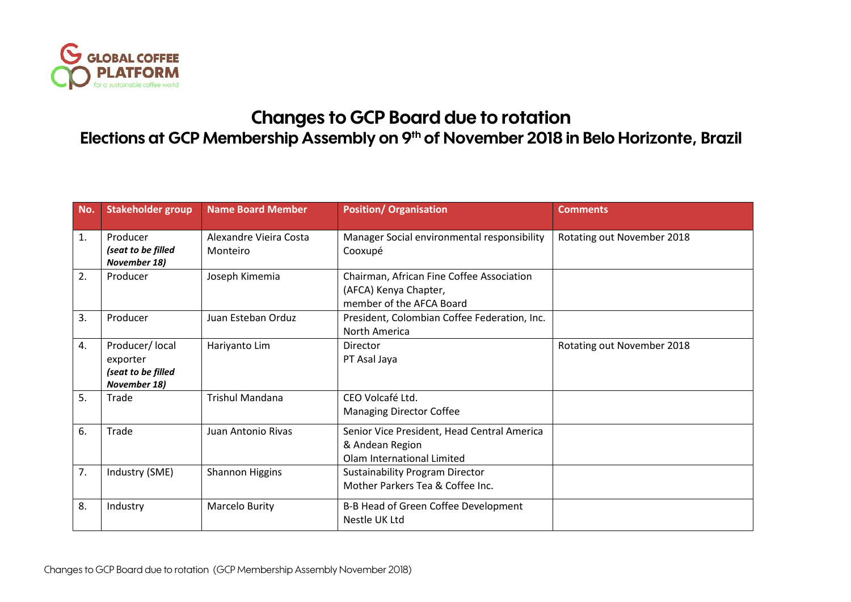

## **Changes to GCP Board due to rotation**

## **Elections at GCP Membership Assembly on 9th of November 2018 in Belo Horizonte, Brazil**

| No. | <b>Stakeholder group</b>                                          | <b>Name Board Member</b>           | <b>Position/ Organisation</b>                                                                  | <b>Comments</b>            |
|-----|-------------------------------------------------------------------|------------------------------------|------------------------------------------------------------------------------------------------|----------------------------|
| 1.  | Producer<br>(seat to be filled<br>November 18)                    | Alexandre Vieira Costa<br>Monteiro | Manager Social environmental responsibility<br>Cooxupé                                         | Rotating out November 2018 |
| 2.  | Producer                                                          | Joseph Kimemia                     | Chairman, African Fine Coffee Association<br>(AFCA) Kenya Chapter,<br>member of the AFCA Board |                            |
| 3.  | Producer                                                          | Juan Esteban Orduz                 | President, Colombian Coffee Federation, Inc.<br>North America                                  |                            |
| 4.  | Producer/ local<br>exporter<br>(seat to be filled<br>November 18) | Hariyanto Lim                      | <b>Director</b><br>PT Asal Jaya                                                                | Rotating out November 2018 |
| 5.  | Trade                                                             | <b>Trishul Mandana</b>             | CEO Volcafé Ltd.<br><b>Managing Director Coffee</b>                                            |                            |
| 6.  | Trade                                                             | Juan Antonio Rivas                 | Senior Vice President, Head Central America<br>& Andean Region<br>Olam International Limited   |                            |
| 7.  | Industry (SME)                                                    | Shannon Higgins                    | <b>Sustainability Program Director</b><br>Mother Parkers Tea & Coffee Inc.                     |                            |
| 8.  | Industry                                                          | Marcelo Burity                     | B-B Head of Green Coffee Development<br>Nestle UK Ltd                                          |                            |